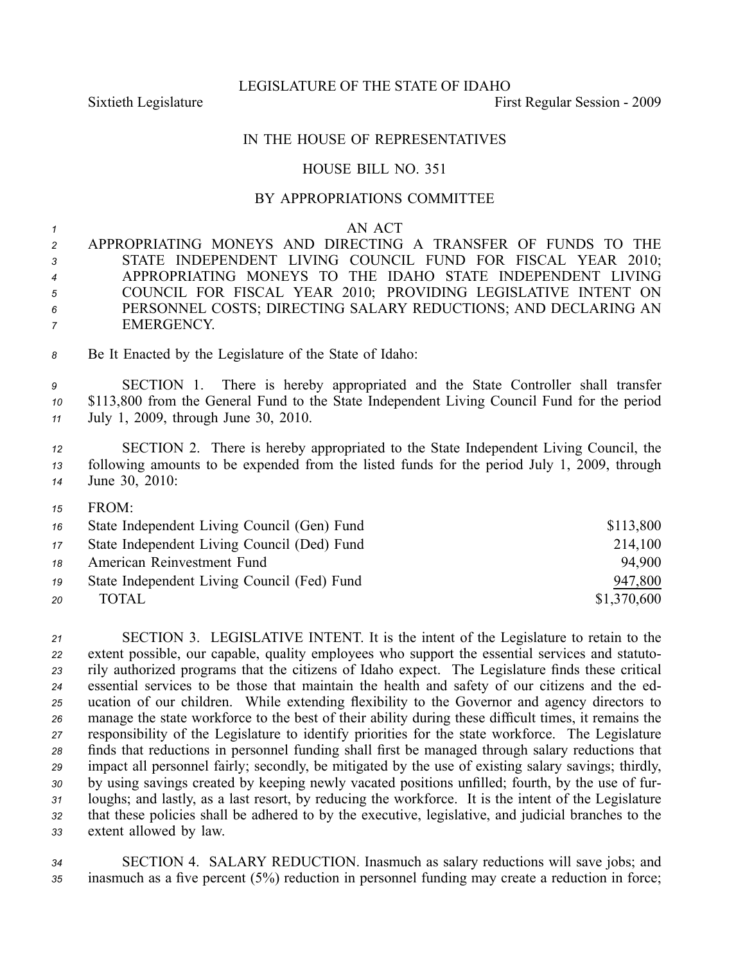LEGISLATURE OF THE STATE OF IDAHO

Sixtieth Legislature First Regular Session - 2009

## IN THE HOUSE OF REPRESENTATIVES

## HOUSE BILL NO. 351

## BY APPROPRIATIONS COMMITTEE

*1* AN ACT

 APPROPRIATING MONEYS AND DIRECTING A TRANSFER OF FUNDS TO THE STATE INDEPENDENT LIVING COUNCIL FUND FOR FISCAL YEAR 2010; APPROPRIATING MONEYS TO THE IDAHO STATE INDEPENDENT LIVING COUNCIL FOR FISCAL YEAR 2010; PROVIDING LEGISLATIVE INTENT ON PERSONNEL COSTS; DIRECTING SALARY REDUCTIONS; AND DECLARING AN EMERGENCY.

*<sup>8</sup>* Be It Enacted by the Legislature of the State of Idaho:

*<sup>9</sup>* SECTION 1. There is hereby appropriated and the State Controller shall transfer *<sup>10</sup>* \$113,800 from the General Fund to the State Independent Living Council Fund for the period *<sup>11</sup>* July 1, 2009, through June 30, 2010.

*<sup>12</sup>* SECTION 2. There is hereby appropriated to the State Independent Living Council, the *<sup>13</sup>* following amounts to be expended from the listed funds for the period July 1, 2009, through *<sup>14</sup>* June 30, 2010:

*15* FROM:

| 16 | State Independent Living Council (Gen) Fund | \$113,800   |
|----|---------------------------------------------|-------------|
| 17 | State Independent Living Council (Ded) Fund | 214,100     |
| 18 | American Reinvestment Fund                  | 94.900      |
| 19 | State Independent Living Council (Fed) Fund | 947,800     |
| 20 | TOTAL.                                      | \$1,370,600 |

 SECTION 3. LEGISLATIVE INTENT. It is the intent of the Legislature to retain to the extent possible, our capable, quality employees who suppor<sup>t</sup> the essential services and statuto- rily authorized programs that the citizens of Idaho expect. The Legislature finds these critical essential services to be those that maintain the health and safety of our citizens and the ed- ucation of our children. While extending flexibility to the Governor and agency directors to manage the state workforce to the best of their ability during these difficult times, it remains the responsibility of the Legislature to identify priorities for the state workforce. The Legislature finds that reductions in personnel funding shall first be managed through salary reductions that impact all personnel fairly; secondly, be mitigated by the use of existing salary savings; thirdly, by using savings created by keeping newly vacated positions unfilled; fourth, by the use of fur- loughs; and lastly, as <sup>a</sup> last resort, by reducing the workforce. It is the intent of the Legislature that these policies shall be adhered to by the executive, legislative, and judicial branches to the extent allowed by law.

*<sup>34</sup>* SECTION 4. SALARY REDUCTION. Inasmuch as salary reductions will save jobs; and *<sup>35</sup>* inasmuch as <sup>a</sup> five percen<sup>t</sup> (5%) reduction in personnel funding may create <sup>a</sup> reduction in force;